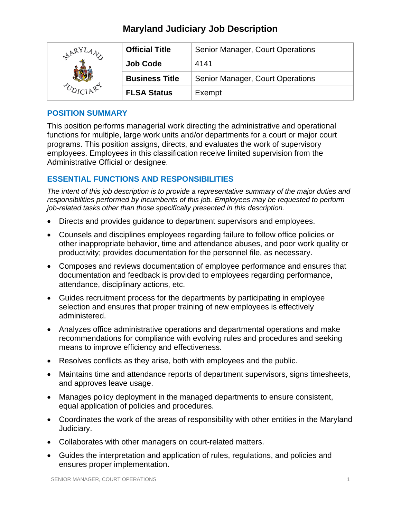# **Maryland Judiciary Job Description**

| $R^{RY}$ | <b>Official Title</b> | Senior Manager, Court Operations |
|----------|-----------------------|----------------------------------|
|          | <b>Job Code</b>       | 4141                             |
|          | <b>Business Title</b> | Senior Manager, Court Operations |
|          | <b>FLSA Status</b>    | Exempt                           |

# **POSITION SUMMARY**

This position performs managerial work directing the administrative and operational functions for multiple, large work units and/or departments for a court or major court programs. This position assigns, directs, and evaluates the work of supervisory employees. Employees in this classification receive limited supervision from the Administrative Official or designee.

# **ESSENTIAL FUNCTIONS AND RESPONSIBILITIES**

*The intent of this job description is to provide a representative summary of the major duties and responsibilities performed by incumbents of this job. Employees may be requested to perform job-related tasks other than those specifically presented in this description.*

- Directs and provides guidance to department supervisors and employees.
- Counsels and disciplines employees regarding failure to follow office policies or other inappropriate behavior, time and attendance abuses, and poor work quality or productivity; provides documentation for the personnel file, as necessary.
- Composes and reviews documentation of employee performance and ensures that documentation and feedback is provided to employees regarding performance, attendance, disciplinary actions, etc.
- Guides recruitment process for the departments by participating in employee selection and ensures that proper training of new employees is effectively administered.
- Analyzes office administrative operations and departmental operations and make recommendations for compliance with evolving rules and procedures and seeking means to improve efficiency and effectiveness.
- Resolves conflicts as they arise, both with employees and the public.
- Maintains time and attendance reports of department supervisors, signs timesheets, and approves leave usage.
- Manages policy deployment in the managed departments to ensure consistent, equal application of policies and procedures.
- Coordinates the work of the areas of responsibility with other entities in the Maryland Judiciary.
- Collaborates with other managers on court-related matters.
- Guides the interpretation and application of rules, regulations, and policies and ensures proper implementation.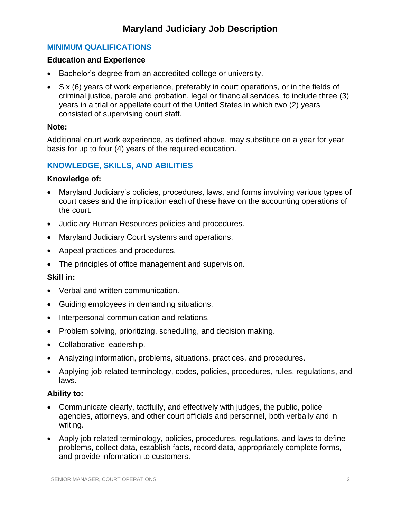# **Maryland Judiciary Job Description**

# **MINIMUM QUALIFICATIONS**

### **Education and Experience**

- Bachelor's degree from an accredited college or university.
- Six (6) years of work experience, preferably in court operations, or in the fields of criminal justice, parole and probation, legal or financial services, to include three (3) years in a trial or appellate court of the United States in which two (2) years consisted of supervising court staff.

#### **Note:**

Additional court work experience, as defined above, may substitute on a year for year basis for up to four (4) years of the required education.

## **KNOWLEDGE, SKILLS, AND ABILITIES**

#### **Knowledge of:**

- Maryland Judiciary's policies, procedures, laws, and forms involving various types of court cases and the implication each of these have on the accounting operations of the court.
- Judiciary Human Resources policies and procedures.
- Maryland Judiciary Court systems and operations.
- Appeal practices and procedures.
- The principles of office management and supervision.

## **Skill in:**

- Verbal and written communication.
- Guiding employees in demanding situations.
- Interpersonal communication and relations.
- Problem solving, prioritizing, scheduling, and decision making.
- Collaborative leadership.
- Analyzing information, problems, situations, practices, and procedures.
- Applying job-related terminology, codes, policies, procedures, rules, regulations, and laws.

#### **Ability to:**

- Communicate clearly, tactfully, and effectively with judges, the public, police agencies, attorneys, and other court officials and personnel, both verbally and in writing.
- Apply job-related terminology, policies, procedures, regulations, and laws to define problems, collect data, establish facts, record data, appropriately complete forms, and provide information to customers.